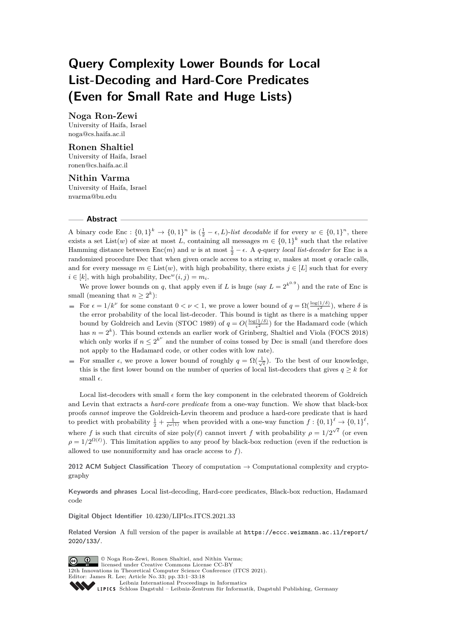# **Query Complexity Lower Bounds for Local List-Decoding and Hard-Core Predicates (Even for Small Rate and Huge Lists)**

# **Noga Ron-Zewi**

University of Haifa, Israel [noga@cs.haifa.ac.il](mailto:noga@cs.haifa.ac.il)

# **Ronen Shaltiel**

University of Haifa, Israel [ronen@cs.haifa.ac.il](mailto:ronen@cs.haifa.ac.il)

# **Nithin Varma**

University of Haifa, Israel [nvarma@bu.edu](mailto:nvarma@bu.edu)

### **Abstract**

A binary code Enc :  $\{0,1\}^k \to \{0,1\}^n$  is  $(\frac{1}{2} - \epsilon, L)$ -list decodable if for every  $w \in \{0,1\}^n$ , there exists a set List(*w*) of size at most *L*, containing all messages  $m \in \{0,1\}^k$  such that the relative Hamming distance between  $Enc(m)$  and *w* is at most  $\frac{1}{2} - \epsilon$ . A *q*-query *local list-decoder* for Enc is a randomized procedure Dec that when given oracle access to a string *w*, makes at most *q* oracle calls, and for every message  $m \in \text{List}(w)$ , with high probability, there exists  $j \in [L]$  such that for every  $i \in [k]$ , with high probability,  $\text{Dec}^w(i, j) = m_i$ .

We prove lower bounds on *q*, that apply even if *L* is huge (say  $L = 2^{k^{0.9}}$ ) and the rate of Enc is small (meaning that  $n \geq 2^k$ ):

- For  $\epsilon = 1/k^{\nu}$  for some constant  $0 < \nu < 1$ , we prove a lower bound of  $q = \Omega(\frac{\log(1/\delta)}{\epsilon^2})$ , where  $\delta$  is the error probability of the local list-decoder. This bound is tight as there is a matching upper bound by Goldreich and Levin (STOC 1989) of  $q = O(\frac{\log(1/\delta)}{\epsilon^2})$  for the Hadamard code (which has  $n = 2<sup>k</sup>$ ). This bound extends an earlier work of Grinberg, Shaltiel and Viola (FOCS 2018) which only works if  $n \leq 2^{k^{\nu}}$  and the number of coins tossed by Dec is small (and therefore does not apply to the Hadamard code, or other codes with low rate).
- For smaller  $\epsilon$ , we prove a lower bound of roughly  $q = \Omega(\frac{1}{\sqrt{\epsilon}})$ . To the best of our knowledge, this is the first lower bound on the number of queries of local list-decoders that gives  $q > k$  for small  $\epsilon$ .

Local list-decoders with small  $\epsilon$  form the key component in the celebrated theorem of Goldreich and Levin that extracts a *hard-core predicate* from a one-way function. We show that black-box proofs *cannot* improve the Goldreich-Levin theorem and produce a hard-core predicate that is hard to predict with probability  $\frac{1}{2} + \frac{1}{\ell^{\omega(1)}}$  when provided with a one-way function  $f: \{0,1\}^{\ell} \to \{0,1\}^{\ell}$ , where *f* is such that circuits of size poly( $\ell$ ) cannot invert *f* with probability  $\rho = 1/2^{\sqrt{\ell}}$  (or even  $\rho = 1/2^{\Omega(\ell)}$ ). This limitation applies to any proof by black-box reduction (even if the reduction is allowed to use nonuniformity and has oracle access to *f*).

**2012 ACM Subject Classification** Theory of computation → Computational complexity and cryptography

**Keywords and phrases** Local list-decoding, Hard-core predicates, Black-box reduction, Hadamard code

**Digital Object Identifier** [10.4230/LIPIcs.ITCS.2021.33](https://doi.org/10.4230/LIPIcs.ITCS.2021.33)

**Related Version** A full version of the paper is available at [https://eccc.weizmann.ac.il/report/](https://eccc.weizmann.ac.il/report/2020/133/) [2020/133/](https://eccc.weizmann.ac.il/report/2020/133/).



© Noga Ron-Zewi, Ronen Shaltiel, and Nithin Varma; licensed under Creative Commons License CC-BY 12th Innovations in Theoretical Computer Science Conference (ITCS 2021). Editor: James R. Lee; Article No. 33; pp. 33:1–33[:18](#page-17-0) [Leibniz International Proceedings in Informatics](https://www.dagstuhl.de/lipics/)

[Schloss Dagstuhl – Leibniz-Zentrum für Informatik, Dagstuhl Publishing, Germany](https://www.dagstuhl.de)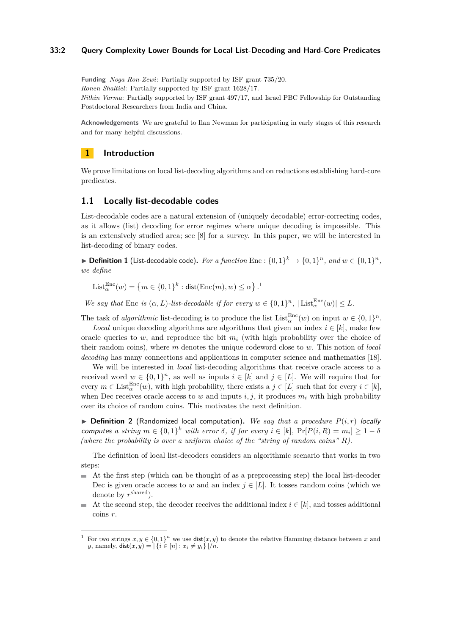### **33:2 Query Complexity Lower Bounds for Local List-Decoding and Hard-Core Predicates**

**Funding** *Noga Ron-Zewi*: Partially supported by ISF grant 735/20. *Ronen Shaltiel*: Partially supported by ISF grant 1628/17. *Nithin Varma*: Partially supported by ISF grant 497/17, and Israel PBC Fellowship for Outstanding Postdoctoral Researchers from India and China.

**Acknowledgements** We are grateful to Ilan Newman for participating in early stages of this research and for many helpful discussions.

# **1 Introduction**

We prove limitations on local list-decoding algorithms and on reductions establishing hard-core predicates.

# **1.1 Locally list-decodable codes**

List-decodable codes are a natural extension of (uniquely decodable) error-correcting codes, as it allows (list) decoding for error regimes where unique decoding is impossible. This is an extensively studied area; see [\[8\]](#page-16-0) for a survey. In this paper, we will be interested in list-decoding of binary codes.

▶ **Definition 1** (List-decodable code). For a function Enc :  $\{0,1\}^k$  →  $\{0,1\}^n$ , and  $w \in \{0,1\}^n$ , *we define*

 $\text{List}_{\alpha}^{\text{Enc}}(w) = \{m \in \{0, 1\}^k : \text{dist}(\text{Enc}(m), w) \leq \alpha\}$  $\text{List}_{\alpha}^{\text{Enc}}(w) = \{m \in \{0, 1\}^k : \text{dist}(\text{Enc}(m), w) \leq \alpha\}$  $\text{List}_{\alpha}^{\text{Enc}}(w) = \{m \in \{0, 1\}^k : \text{dist}(\text{Enc}(m), w) \leq \alpha\}$ .<sup>1</sup>

*We say that* Enc *is*  $(\alpha, L)$ *-list-decodable if for every*  $w \in \{0, 1\}^n$ ,  $|\text{List}_{\alpha}^{\text{Enc}}(w)| \leq L$ .

The task of *algorithmic* list-decoding is to produce the list  $List_{\alpha}^{Enc}(w)$  on input  $w \in \{0,1\}^n$ .

*Local* unique decoding algorithms are algorithms that given an index  $i \in [k]$ , make few oracle queries to  $w$ , and reproduce the bit  $m<sub>i</sub>$  (with high probability over the choice of their random coins), where *m* denotes the unique codeword close to *w*. This notion of *local decoding* has many connections and applications in computer science and mathematics [\[18\]](#page-17-1).

We will be interested in *local* list-decoding algorithms that receive oracle access to a received word  $w \in \{0,1\}^n$ , as well as inputs  $i \in [k]$  and  $j \in [L]$ . We will require that for every  $m \in \text{List}_{\alpha}^{\text{Enc}}(w)$ , with high probability, there exists a  $j \in [L]$  such that for every  $i \in [k]$ , when Dec receives oracle access to *w* and inputs  $i, j$ , it produces  $m_i$  with high probability over its choice of random coins. This motivates the next definition.

 $\triangleright$  **Definition 2** (Randomized local computation). We say that a procedure  $P(i,r)$  locally computes a string  $m \in \{0,1\}^k$  with error  $\delta$ , if for every  $i \in [k]$ ,  $Pr[P(i, R) = m_i] \geq 1 - \delta$ *(where the probability is over a uniform choice of the "string of random coins" R).*

The definition of local list-decoders considers an algorithmic scenario that works in two steps:

- At the first step (which can be thought of as a preprocessing step) the local list-decoder  $\rightarrow$ Dec is given oracle access to *w* and an index  $j \in [L]$ . It tosses random coins (which we denote by *r* shared).
- At the second step, the decoder receives the additional index  $i \in [k]$ , and tosses additional coins *r*.

<span id="page-1-0"></span><sup>&</sup>lt;sup>1</sup> For two strings  $x, y \in \{0, 1\}^n$  we use  $dist(x, y)$  to denote the relative Hamming distance between x and *y*, namely,  $dist(x, y) = |\{i \in [n] : x_i \neq y_i\}|/n$ .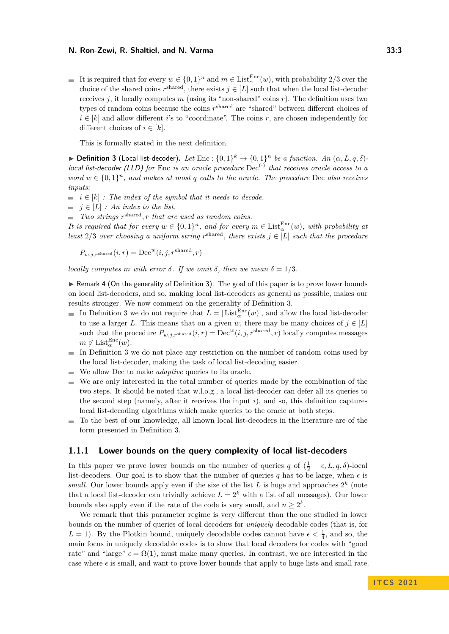It is required that for every  $w \in \{0,1\}^n$  and  $m \in \text{List}_{\alpha}^{\text{Enc}}(w)$ , with probability 2/3 over the choice of the shared coins  $r^{\text{shared}}$ , there exists  $j \in [L]$  such that when the local list-decoder receives  $j$ , it locally computes  $m$  (using its "non-shared" coins  $r$ ). The definition uses two types of random coins because the coins  $r^{\text{shared}}$  are "shared" between different choices of  $i \in [k]$  and allow different *i*'s to "coordinate". The coins *r*, are chosen independently for different choices of  $i \in [k]$ .

This is formally stated in the next definition.

<span id="page-2-0"></span>**Definition 3** (Local list-decoder). Let Enc :  $\{0,1\}^k \to \{0,1\}^n$  be a function. An  $(\alpha, L, q, \delta)$ local list-decoder (LLD) for Enc *is an oracle procedure* Dec<sup>(·)</sup> that receives oracle access to a *word*  $w \in \{0,1\}^n$ , and makes at most q calls to the oracle. The procedure Dec *also receives inputs:*

- $\blacksquare$  *i*  $\in$   $[k]$  *: The index of the symbol that it needs to decode.*
- $\blacksquare$  *j* ∈ [*L*] *:* An index to the list.

*Two strings r* shared*, r that are used as random coins.*

*It is required that for every*  $w \in \{0,1\}^n$ , and for every  $m \in \text{List}_{\alpha}^{\text{Enc}}(w)$ , with probability at *least*  $2/3$  *over choosing a uniform string*  $r^{\text{shared}}$ *, there exists*  $j \in [L]$  *such that the procedure* 

$$
P_{w,j,r^{\text{shared}}}(i,r) = \text{Dec}^w(i,j,r^{\text{shared}},r)
$$

*locally computes m with error*  $\delta$ *. If we omit*  $\delta$ *, then we mean*  $\delta = 1/3$ *.* 

 $\triangleright$  Remark 4 (On the generality of Definition [3\)](#page-2-0). The goal of this paper is to prove lower bounds on local list-decoders, and so, making local list-decoders as general as possible, makes our results stronger. We now comment on the generality of Definition [3.](#page-2-0)

- In Definition [3](#page-2-0) we do not require that  $L = |\text{List}_{\alpha}^{\text{Enc}}(w)|$ , and allow the local list-decoder to use a larger *L*. This means that on a given *w*, there may be many choices of  $j \in [L]$ such that the procedure  $P_{w,j,r^{\text{shared}}}(i,r) = \text{Dec}^w(i,j,r^{\text{shared}},r)$  locally computes messages  $m \notin \text{List}_{\alpha}^{\text{Enc}}(w).$
- In Definition [3](#page-2-0) we do not place any restriction on the number of random coins used by  $\sim$ the local list-decoder, making the task of local list-decoding easier.
- We allow Dec to make *adaptive* queries to its oracle.  $\sim$
- We are only interested in the total number of queries made by the combination of the  $\overline{\phantom{a}}$ two steps. It should be noted that w.l.o.g., a local list-decoder can defer all its queries to the second step (namely, after it receives the input *i*), and so, this definition captures local list-decoding algorithms which make queries to the oracle at both steps.
- To the best of our knowledge, all known local list-decoders in the literature are of the  $\mathcal{L}$ form presented in Definition [3.](#page-2-0)

### <span id="page-2-1"></span>**1.1.1 Lower bounds on the query complexity of local list-decoders**

In this paper we prove lower bounds on the number of queries *q* of  $(\frac{1}{2} - \epsilon, L, q, \delta)$ -local list-decoders. Our goal is to show that the number of queries  $q$  has to be large, when  $\epsilon$  is *small.* Our lower bounds apply even if the size of the list  $L$  is huge and approaches  $2^k$  (note that a local list-decoder can trivially achieve  $L = 2<sup>k</sup>$  with a list of all messages). Our lower bounds also apply even if the rate of the code is very small, and  $n \geq 2^k$ .

We remark that this parameter regime is very different than the one studied in lower bounds on the number of queries of local decoders for *uniquely* decodable codes (that is, for  $L = 1$ ). By the Plotkin bound, uniquely decodable codes cannot have  $\epsilon < \frac{1}{4}$ , and so, the main focus in uniquely decodable codes is to show that local decoders for codes with "good rate" and "large"  $\epsilon = \Omega(1)$ , must make many queries. In contrast, we are interested in the case where  $\epsilon$  is small, and want to prove lower bounds that apply to huge lists and small rate.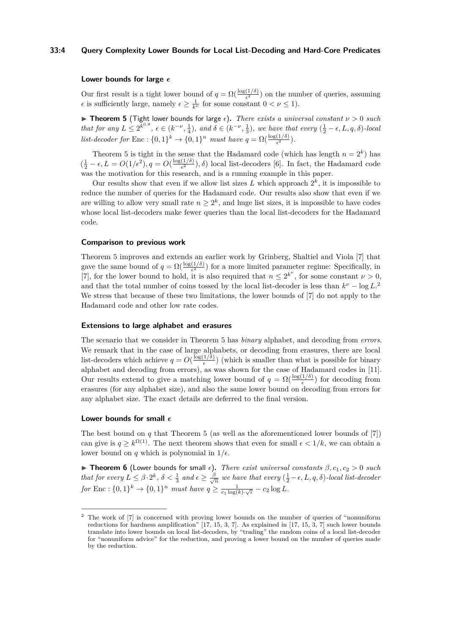### **33:4 Query Complexity Lower Bounds for Local List-Decoding and Hard-Core Predicates**

### **Lower bounds for large**

Our first result is a tight lower bound of  $q = \Omega(\frac{\log(1/\delta)}{\epsilon^2})$  on the number of queries, assuming  $\epsilon$  is sufficiently large, namely  $\epsilon \geq \frac{1}{k^{\nu}}$  for some constant  $0 < \nu \leq 1$ .

<span id="page-3-0"></span> $\triangleright$  **Theorem 5** (Tight lower bounds for large  $\epsilon$ ). *There exists a universal constant*  $\nu > 0$  *such that for any*  $L \leq 2^{k^{0.9}}$ ,  $\epsilon \in (k^{-\nu}, \frac{1}{4})$ , and  $\delta \in (k^{-\nu}, \frac{1}{3})$ , we have that every  $(\frac{1}{2} - \epsilon, L, q, \delta)$ -local *list-decoder for* Enc :  $\{0,1\}^k \to \{0,1\}^n$  *must have*  $q = \Omega(\frac{\log(1/\delta)}{\epsilon^2})$ *.* 

Theorem [5](#page-3-0) is tight in the sense that the Hadamard code (which has length  $n = 2<sup>k</sup>$ ) has  $\left(\frac{1}{2} - \epsilon, L = O(1/\epsilon^2), q = O(\frac{\log(1/\delta)}{\epsilon^2})\right)$  $\frac{(1/\delta)}{\epsilon^2}$ ,  $\delta$ ) local list-decoders [\[6\]](#page-16-1). In fact, the Hadamard code was the motivation for this research, and is a running example in this paper.

Our results show that even if we allow list sizes  $L$  which approach  $2^k$ , it is impossible to reduce the number of queries for the Hadamard code. Our results also show that even if we are willing to allow very small rate  $n \geq 2^k$ , and huge list sizes, it is impossible to have codes whose local list-decoders make fewer queries than the local list-decoders for the Hadamard code.

### **Comparison to previous work**

Theorem [5](#page-3-0) improves and extends an earlier work by Grinberg, Shaltiel and Viola [\[7\]](#page-16-2) that gave the same bound of  $q = \Omega(\frac{\log(1/\delta)}{\epsilon^2})$  for a more limited parameter regime: Specifically, in [\[7\]](#page-16-2), for the lower bound to hold, it is also required that  $n \leq 2^{k^{\nu}}$ , for some constant  $\nu > 0$ , and that the total number of coins tossed by the local list-decoder is less than  $k^{\nu} - \log L^2$  $k^{\nu} - \log L^2$ . We stress that because of these two limitations, the lower bounds of [\[7\]](#page-16-2) do not apply to the Hadamard code and other low rate codes.

### **Extensions to large alphabet and erasures**

The scenario that we consider in Theorem [5](#page-3-0) has *binary* alphabet, and decoding from *errors*. We remark that in the case of large alphabets, or decoding from erasures, there are local list-decoders which achieve  $q = O(\frac{\log(1/\delta)}{\epsilon})$  $\frac{1}{\epsilon}$ ) (which is smaller than what is possible for binary alphabet and decoding from errors), as was shown for the case of Hadamard codes in [\[11\]](#page-17-2). Our results extend to give a matching lower bound of  $q = \Omega(\frac{\log(1/\delta)}{\epsilon})$  for decoding from erasures (for any alphabet size), and also the same lower bound on decoding from errors for any alphabet size. The exact details are deferred to the final version.

### **Lower bounds for small**

The best bound on *q* that Theorem [5](#page-3-0) (as well as the aforementioned lower bounds of [\[7\]](#page-16-2)) can give is  $q \geq k^{\Omega(1)}$ . The next theorem shows that even for small  $\epsilon < 1/k$ , we can obtain a lower bound on *q* which is polynomial in  $1/\epsilon$ .

<span id="page-3-2"></span>**Theorem 6** (Lower bounds for small  $\epsilon$ ). *There exist universal constants*  $\beta$ ,  $c_1$ ,  $c_2 > 0$  *such that for every*  $L \leq \beta \cdot 2^k$ ,  $\delta < \frac{1}{3}$  and  $\epsilon \geq \frac{\beta}{\sqrt{2}}$  $\frac{\partial}{\partial \overline{n}}$  we have that every  $(\frac{1}{2} - \epsilon, L, q, \delta)$ *-local list-decoder for* Enc :  $\{0, 1\}^k \to \{0, 1\}^n$  *must have*  $q \ge \frac{1}{c_1 \log(k) \cdot \sqrt{\epsilon}} - c_2 \log L$ .

<span id="page-3-1"></span><sup>&</sup>lt;sup>2</sup> The work of [\[7\]](#page-16-2) is concerned with proving lower bounds on the number of queries of "nonuniform" reductions for hardness amplification" [\[17,](#page-17-3) [15,](#page-17-4) [3,](#page-16-3) [7\]](#page-16-2). As explained in [\[17,](#page-17-3) [15,](#page-17-4) [3,](#page-16-3) [7\]](#page-16-2) such lower bounds translate into lower bounds on local list-decoders, by "trading" the random coins of a local list-decoder for "nonuniform advice" for the reduction, and proving a lower bound on the number of queries made by the reduction.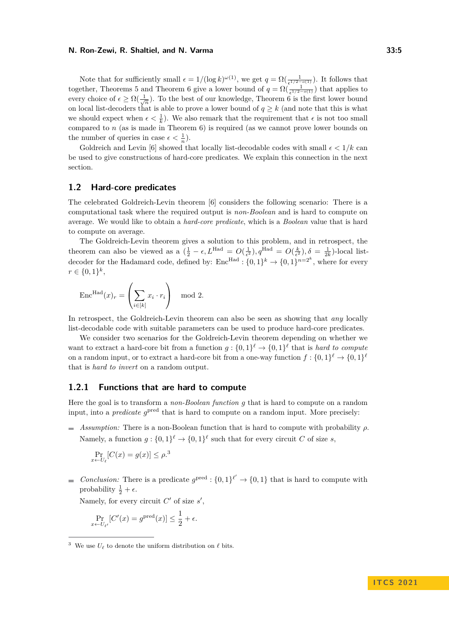Note that for sufficiently small  $\epsilon = 1/(\log k)^{\omega(1)}$ , we get  $q = \Omega(\frac{1}{\epsilon^{1/2-o(1)}})$ . It follows that together, Theorems [5](#page-3-0) and Theorem [6](#page-3-2) give a lower bound of  $q = \Omega(\frac{1}{\epsilon^{1/2-o(1)}})$  that applies to every choice of  $\epsilon \geq \Omega(\frac{1}{\sqrt{n}})$ . To the best of our knowledge, Theorem [6](#page-3-2) is the first lower bound on local list-decoders that is able to prove a lower bound of  $q \geq k$  (and note that this is what we should expect when  $\epsilon < \frac{1}{k}$ ). We also remark that the requirement that  $\epsilon$  is not too small compared to  $n$  (as is made in Theorem [6\)](#page-3-2) is required (as we cannot prove lower bounds on the number of queries in case  $\epsilon < \frac{1}{n}$ ).

Goldreich and Levin [\[6\]](#page-16-1) showed that locally list-decodable codes with small  $\epsilon < 1/k$  can be used to give constructions of hard-core predicates. We explain this connection in the next section.

### **1.2 Hard-core predicates**

The celebrated Goldreich-Levin theorem [\[6\]](#page-16-1) considers the following scenario: There is a computational task where the required output is *non-Boolean* and is hard to compute on average. We would like to obtain a *hard-core predicate*, which is a *Boolean* value that is hard to compute on average.

The Goldreich-Levin theorem gives a solution to this problem, and in retrospect, the theorem can also be viewed as a  $(\frac{1}{2} - \epsilon, L^{\text{Had}} = O(\frac{1}{\epsilon^2}), q^{\text{Had}} = O(\frac{k}{\epsilon^2}), \delta = \frac{1}{2k}$ -local listdecoder for the Hadamard code, defined by:  $Enc^{Had}: \{0,1\}^k \rightarrow \{0,1\}^{n=2^k}$ , where for every  $r \in \{0, 1\}^k$ ,

$$
\operatorname{Enc}^{\operatorname{Had}}(x)_r = \left(\sum_{i \in [k]} x_i \cdot r_i\right) \mod 2.
$$

In retrospect, the Goldreich-Levin theorem can also be seen as showing that *any* locally list-decodable code with suitable parameters can be used to produce hard-core predicates.

We consider two scenarios for the Goldreich-Levin theorem depending on whether we want to extract a hard-core bit from a function  $g: \{0,1\}^{\ell} \to \{0,1\}^{\ell}$  that is *hard to compute* on a random input, or to extract a hard-core bit from a one-way function  $f: \{0,1\}^{\ell} \to \{0,1\}^{\ell}$ that is *hard to invert* on a random output.

# <span id="page-4-1"></span>**1.2.1 Functions that are hard to compute**

Here the goal is to transform a *non-Boolean function g* that is hard to compute on a random input, into a *predicate*  $g^{\text{pred}}$  that is hard to compute on a random input. More precisely:

*Assumption:* There is a non-Boolean function that is hard to compute with probability  $\rho$ . Namely, a function  $g: \{0,1\}^{\ell} \to \{0,1\}^{\ell}$  such that for every circuit *C* of size *s*,

$$
\Pr_{x \leftarrow U_{\ell}}[C(x) = g(x)] \le \rho^{3}
$$

*Conclusion:* There is a predicate  $g^{\text{pred}}$  :  $\{0,1\}^{\ell'} \to \{0,1\}$  that is hard to compute with probability  $\frac{1}{2} + \epsilon$ .

Namely, for every circuit  $C'$  of size  $s'$ ,

$$
\Pr_{x \leftarrow U_{\ell'}}[C'(x) = g^{\text{pred}}(x)] \le \frac{1}{2} + \epsilon.
$$

**I T C S 2 0 2 1**

<span id="page-4-0"></span><sup>&</sup>lt;sup>3</sup> We use  $U_{\ell}$  to denote the uniform distribution on  $\ell$  bits.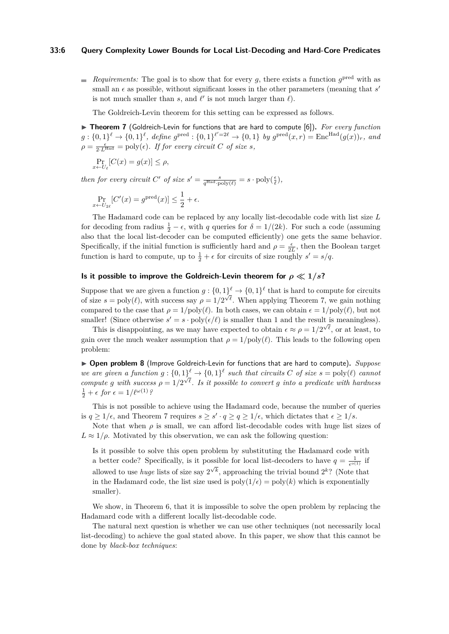### **33:6 Query Complexity Lower Bounds for Local List-Decoding and Hard-Core Predicates**

*Requirements:* The goal is to show that for every *g*, there exists a function  $g^{\text{pred}}$  with as small an  $\epsilon$  as possible, without significant losses in the other parameters (meaning that  $s'$ is not much smaller than  $s$ , and  $\ell'$  is not much larger than  $\ell$ ).

The Goldreich-Levin theorem for this setting can be expressed as follows.

<span id="page-5-0"></span>▶ Theorem 7 (Goldreich-Levin for functions that are hard to compute [\[6\]](#page-16-1)). For every function  $g: \{0,1\}^{\ell} \to \{0,1\}^{\ell}$ , define  $g^{\text{pred}}: \{0,1\}^{\ell'=2\ell} \to \{0,1\}$  by  $g^{\text{pred}}(x,r) = \text{Enc}^{\text{Had}}(g(x))_r$ , and  $\rho = \frac{\epsilon}{2 \cdot L^{\text{Had}}} = \text{poly}(\epsilon)$ *. If for every circuit C of size s,* 

$$
\Pr_{x \leftarrow U_{\ell}}[C(x) = g(x)] \le \rho,
$$

*then for every circuit*  $C'$  *of size*  $s' = \frac{s}{q^{\text{Had}} \cdot \text{poly}(\ell)} = s \cdot \text{poly}(\frac{\epsilon}{\ell}),$ 

$$
\Pr_{x \leftarrow U_{2\ell}}[C'(x) = g^{\text{pred}}(x)] \le \frac{1}{2} + \epsilon.
$$

The Hadamard code can be replaced by any locally list-decodable code with list size *L* for decoding from radius  $\frac{1}{2} - \epsilon$ , with *q* queries for  $\delta = 1/(2k)$ . For such a code (assuming also that the local list-decoder can be computed efficiently) one gets the same behavior. Specifically, if the initial function is sufficiently hard and  $\rho = \frac{\epsilon}{2L}$ , then the Boolean target function is hard to compute, up to  $\frac{1}{2} + \epsilon$  for circuits of size roughly  $s' = s/q$ .

# **Is it possible to improve the Goldreich-Levin theorem for**  $\rho \ll 1/s$ **?**

Suppose that we are given a function  $g: \{0,1\}^{\ell} \to \{0,1\}^{\ell}$  that is hard to compute for circuits suppose that we are given a function  $g : [0,1] \rightarrow [0,1]$  that is fiard to compute for circuits of size  $s = \text{poly}(\ell)$ , with success say  $\rho = 1/2^{\sqrt{\ell}}$ . When applying Theorem [7,](#page-5-0) we gain nothing compared to the case that  $\rho = 1/\text{poly}(\ell)$ . In both cases, we can obtain  $\epsilon = 1/\text{poly}(\ell)$ , but not smaller! (Since otherwise  $s' = s \cdot \text{poly}(\epsilon/\ell)$  is smaller than 1 and the result is meaningless).

This is disappointing, as we may have expected to obtain  $\epsilon \approx \rho = 1/2^{\sqrt{\ell}}$ , or at least, to gain over the much weaker assumption that  $\rho = 1/\text{poly}(\ell)$ . This leads to the following open problem:

<span id="page-5-2"></span>▶ **Open problem 8** (Improve Goldreich-Levin for functions that are hard to compute). *Suppose we are given a function*  $g: \{0,1\}^{\ell} \to \{0,1\}^{\ell}$  such that circuits C of size  $s = \text{poly}(\ell)$  cannot *compute g* with success  $\rho = 1/2^{\sqrt{\ell}}$ . Is it possible to convert *g* into a predicate with hardness  $\frac{1}{2} + \epsilon$  for  $\epsilon = 1/\ell^{\omega(1)}$ ?

This is not possible to achieve using the Hadamard code, because the number of queries is  $q \geq 1/\epsilon$ , and Theorem [7](#page-5-0) requires  $s \geq s' \cdot q \geq q \geq 1/\epsilon$ , which dictates that  $\epsilon \geq 1/s$ .

Note that when  $\rho$  is small, we can afford list-decodable codes with huge list sizes of  $L \approx 1/\rho$ . Motivated by this observation, we can ask the following question:

Is it possible to solve this open problem by substituting the Hadamard code with a better code? Specifically, is it possible for local list-decoders to have  $q = \frac{1}{\epsilon^{o(1)}}$  if a second state of position,  $\int_{0}^{\infty}$  is  $\int_{0}^{\infty}$  reserved to use *huge* lists of size say  $2^{\sqrt{k}}$ , approaching the trivial bound  $2^{k}$ ? (Note that in the Hadamard code, the list size used is  $poly(1/\epsilon) = poly(k)$  which is exponentially smaller).

We show, in Theorem [6,](#page-3-2) that it is impossible to solve the open problem by replacing the Hadamard code with a different locally list-decodable code.

<span id="page-5-1"></span>The natural next question is whether we can use other techniques (not necessarily local list-decoding) to achieve the goal stated above. In this paper, we show that this cannot be done by *black-box techniques*: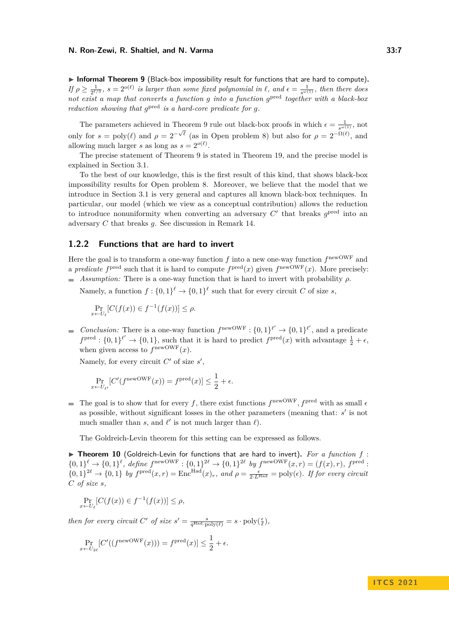▶ Informal Theorem 9 (Black-box impossibility result for functions that are hard to compute). *If*  $\rho \ge \frac{1}{2^{\ell/3}}$ ,  $s = 2^{o(\ell)}$  *is larger than some fixed polynomial in*  $\ell$ , and  $\epsilon = \frac{1}{s^{\omega(1)}}$ , then there does *not exist a map that converts a function g into a function g* pred *together with a black-box reduction showing that*  $g^{\text{pred}}$  *is a hard-core predicate for g.* 

The parameters achieved in Theorem [9](#page-5-1) rule out black-box proofs in which  $\epsilon = \frac{1}{s^{\omega(1)}}$ , not only for  $s = \text{poly}(\ell)$  and  $\rho = 2^{-\sqrt{\ell}}$  (as in Open problem [8\)](#page-5-2) but also for  $\rho = 2^{-\Omega(\ell)}$ , and allowing much larger *s* as long as  $s = 2^{o(\ell)}$ .

The precise statement of Theorem [9](#page-5-1) is stated in Theorem [19,](#page-15-0) and the precise model is explained in Section [3.1.](#page-13-0)

To the best of our knowledge, this is the first result of this kind, that shows black-box impossibility results for Open problem [8.](#page-5-2) Moreover, we believe that the model that we introduce in Section [3.1](#page-13-0) is very general and captures all known black-box techniques. In particular, our model (which we view as a conceptual contribution) allows the reduction to introduce nonuniformity when converting an adversary  $C'$  that breaks  $g^{\text{pred}}$  into an adversary *C* that breaks *g*. See discussion in Remark [14.](#page-7-0)

# **1.2.2 Functions that are hard to invert**

Here the goal is to transform a one-way function  $f$  into a new one-way function  $f^{\text{newOWF}}$  and a *predicate*  $f^{\text{pred}}$  such that it is hard to compute  $f^{\text{pred}}(x)$  given  $f^{\text{newOWF}}(x)$ . More precisely: *Assumption:* There is a one-way function that is hard to invert with probability  $\rho$ .

Namely, a function  $f: \{0,1\}^{\ell} \to \{0,1\}^{\ell}$  such that for every circuit *C* of size *s*,

$$
\Pr_{x \leftarrow U_{\ell}}[C(f(x)) \in f^{-1}(f(x))] \le \rho.
$$

*Conclusion:* There is a one-way function  $f^{\text{newOWF}}: \{0,1\}^{\ell'} \to \{0,1\}^{\ell'}$ , and a predicate  $f^{\text{pred}} : \{0,1\}^{\ell'} \to \{0,1\}$ , such that it is hard to predict  $f^{\text{pred}}(x)$  with advantage  $\frac{1}{2} + \epsilon$ , when given access to  $f^{\text{newOWF}}(x)$ .

Namely, for every circuit  $C'$  of size  $s'$ ,

$$
\Pr_{x \leftarrow U_{\ell'}}[C'(f^{\text{newOWF}}(x)) = f^{\text{pred}}(x)] \le \frac{1}{2} + \epsilon.
$$

The goal is to show that for every f, there exist functions  $f^{\text{newOWF}}, f^{\text{pred}}$  with as small  $\epsilon$ as possible, without significant losses in the other parameters (meaning that:  $s'$  is not much smaller than *s*, and  $\ell'$  is not much larger than  $\ell$ ).

The Goldreich-Levin theorem for this setting can be expressed as follows.

<span id="page-6-0"></span>▶ Theorem 10 (Goldreich-Levin for functions that are hard to invert). For a function f :  $\{0,1\}^{\ell} \to \{0,1\}^{\ell}$ , define  $f^{\text{newOWF}}: \{0,1\}^{2\ell} \to \{0,1\}^{2\ell}$  by  $f^{\text{newOWF}}(x,r) = (f(x),r)$ ,  $f^{\text{pred}}$ :  $\{0,1\}^{\mathcal{2\ell}} \to \{0,1\}$  *by*  $f^{\text{pred}}(x,r) = \text{Enc}^{\text{Had}}(x)_r$ *, and*  $\rho = \frac{\epsilon}{2 \cdot L^{\text{Had}}} = \text{poly}(\epsilon)$ *. If for every circuit C of size s,*

$$
\Pr_{x \leftarrow U_{\ell}}[C(f(x)) \in f^{-1}(f(x))] \le \rho,
$$

*then for every circuit*  $C'$  *of size*  $s' = \frac{s}{q^{\text{Had}} \cdot \text{poly}(\ell)} = s \cdot \text{poly}(\frac{\epsilon}{\ell}),$ 

$$
\Pr_{x \leftarrow U_{2\ell}}[C'((f^{\text{newOWF}}(x))) = f^{\text{pred}}(x)] \le \frac{1}{2} + \epsilon.
$$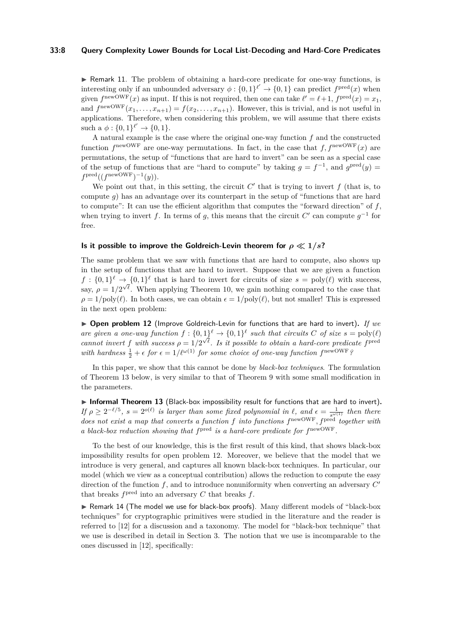I Remark 11. The problem of obtaining a hard-core predicate for one-way functions, is interesting only if an unbounded adversary  $\phi: \{0,1\}^{\ell'} \to \{0,1\}$  can predict  $f^{\text{pred}}(x)$  when given  $f^{\text{newOWF}}(x)$  as input. If this is not required, then one can take  $\ell' = \ell + 1$ ,  $f^{\text{pred}}(x) = x_1$ , and  $f^{\text{newOWF}}(x_1, \ldots, x_{n+1}) = f(x_2, \ldots, x_{n+1})$ . However, this is trivial, and is not useful in applications. Therefore, when considering this problem, we will assume that there exists such a  $\phi: \{0,1\}^{\ell'} \to \{0,1\}.$ 

A natural example is the case where the original one-way function *f* and the constructed function  $f^{\text{newOWF}}$  are one-way permutations. In fact, in the case that  $f, f^{\text{newOWF}}(x)$  are permutations, the setup of "functions that are hard to invert" can be seen as a special case of the setup of functions that are "hard to compute" by taking  $g = f^{-1}$ , and  $g^{\text{pred}}(y) =$  $f^{\text{pred}}((f^{\text{newOWF}})^{-1}(y)).$ 

We point out that, in this setting, the circuit  $C'$  that is trying to invert  $f$  (that is, to compute *g*) has an advantage over its counterpart in the setup of "functions that are hard to compute": It can use the efficient algorithm that computes the "forward direction" of *f*, when trying to invert *f*. In terms of *g*, this means that the circuit  $C'$  can compute  $g^{-1}$  for free.

### **Is it possible to improve the Goldreich-Levin theorem for**  $\rho \ll 1/s$ **?**

The same problem that we saw with functions that are hard to compute, also shows up in the setup of functions that are hard to invert. Suppose that we are given a function  $f: \{0,1\}^{\ell} \to \{0,1\}^{\ell}$  that is hard to invert for circuits of size  $s = \text{poly}(\ell)$  with success, say,  $\rho = 1/2^{\sqrt{\ell}}$ . When applying Theorem [10,](#page-6-0) we gain nothing compared to the case that  $\rho = 1/\text{poly}(\ell)$ . In both cases, we can obtain  $\epsilon = 1/\text{poly}(\ell)$ , but not smaller! This is expressed in the next open problem:

<span id="page-7-2"></span>▶ **Open problem 12** (Improve Goldreich-Levin for functions that are hard to invert). If we are given a one-way function  $f: \{0,1\}^{\ell} \to \{0,1\}^{\ell}$  such that circuits C of size  $s = \text{poly}(\ell)$ *cannot invert f* with success  $\rho = 1/2^{\sqrt{\ell}}$ . Is it possible to obtain a hard-core predicate fixed with hardness  $\frac{1}{2} + \epsilon$  for  $\epsilon = 1/\ell^{\omega(1)}$  for some choice of one-way function  $f^{\text{newOWF}}$ ?

In this paper, we show that this cannot be done by *black-box techniques*. The formulation of Theorem [13](#page-7-1) below, is very similar to that of Theorem [9](#page-5-1) with some small modification in the parameters.

<span id="page-7-1"></span>▶ Informal Theorem 13 (Black-box impossibility result for functions that are hard to invert).  $I$ *f*  $\rho \geq 2^{-\ell/5}$ ,  $s = 2^{o(\ell)}$  *is larger than some fixed polynomial in*  $\ell$ , and  $\epsilon = \frac{1}{s^{\omega(1)}}$  *then there does not exist a map that converts a function f into functions f* newOWF*, f*pred *together with a black-box reduction showing that*  $f^{\text{pred}}$  *is a hard-core predicate for*  $f^{\text{newOWF}}$ .

To the best of our knowledge, this is the first result of this kind, that shows black-box impossibility results for open problem [12.](#page-7-2) Moreover, we believe that the model that we introduce is very general, and captures all known black-box techniques. In particular, our model (which we view as a conceptual contribution) allows the reduction to compute the easy direction of the function f, and to introduce nonuniformity when converting an adversary  $C'$ that breaks  $f^{\text{pred}}$  into an adversary  $C$  that breaks  $f$ .

<span id="page-7-0"></span>▶ Remark 14 (The model we use for black-box proofs). Many different models of "black-box techniques" for cryptographic primitives were studied in the literature and the reader is referred to [\[12\]](#page-17-5) for a discussion and a taxonomy. The model for "black-box technique" that we use is described in detail in Section [3.](#page-13-1) The notion that we use is incomparable to the ones discussed in [\[12\]](#page-17-5), specifically: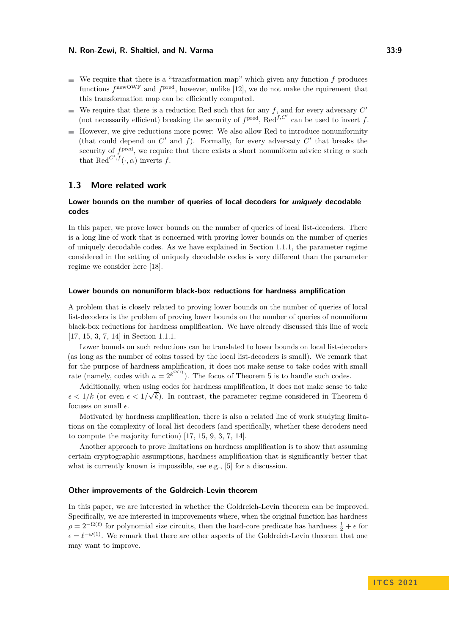- We require that there is a "transformation map" which given any function  $f$  produces functions  $f^{\text{newOWF}}$  and  $f^{\text{pred}}$ , however, unlike [\[12\]](#page-17-5), we do not make the rquirement that this transformation map can be efficiently computed.
- We require that there is a reduction Red such that for any  $f$ , and for every adversary  $C'$  $\overline{a}$ (not necessarily efficient) breaking the security of  $f^{\text{pred}}$ ,  $\text{Red}^{f,C'}$  can be used to invert *f*.
- $\blacksquare$  However, we give reductions more power: We also allow Red to introduce nonuniformity (that could depend on  $C'$  and  $f$ ). Formally, for every adversaty  $C'$  that breaks the security of  $f<sup>pred</sup>$ , we require that there exists a short nonuniform advice string  $\alpha$  such that  $\text{Red}^{C',f}(\cdot,\alpha)$  inverts *f*.

# **1.3 More related work**

# **Lower bounds on the number of queries of local decoders for uniquely decodable codes**

In this paper, we prove lower bounds on the number of queries of local list-decoders. There is a long line of work that is concerned with proving lower bounds on the number of queries of uniquely decodable codes. As we have explained in Section [1.1.1,](#page-2-1) the parameter regime considered in the setting of uniquely decodable codes is very different than the parameter regime we consider here [\[18\]](#page-17-1).

#### **Lower bounds on nonuniform black-box reductions for hardness amplification**

A problem that is closely related to proving lower bounds on the number of queries of local list-decoders is the problem of proving lower bounds on the number of queries of nonuniform black-box reductions for hardness amplification. We have already discussed this line of work [\[17,](#page-17-3) [15,](#page-17-4) [3,](#page-16-3) [7,](#page-16-2) [14\]](#page-17-6) in Section [1.1.1.](#page-2-1)

Lower bounds on such reductions can be translated to lower bounds on local list-decoders (as long as the number of coins tossed by the local list-decoders is small). We remark that for the purpose of hardness amplification, it does not make sense to take codes with small rate (namely, codes with  $n = 2^{k^{\Omega(1)}}$ ). The focus of Theorem [5](#page-3-0) is to handle such codes.

Additionally, when using codes for hardness amplification, it does not make sense to take √  $\epsilon$  < 1/k (or even  $\epsilon$  < 1/ $\sqrt{k}$ ). In contrast, the parameter regime considered in Theorem [6](#page-3-2) focuses on small  $\epsilon$ .

Motivated by hardness amplification, there is also a related line of work studying limitations on the complexity of local list decoders (and specifically, whether these decoders need to compute the majority function) [\[17,](#page-17-3) [15,](#page-17-4) [9,](#page-16-4) [3,](#page-16-3) [7,](#page-16-2) [14\]](#page-17-6).

Another approach to prove limitations on hardness amplification is to show that assuming certain cryptographic assumptions, hardness amplification that is significantly better that what is currently known is impossible, see e.g., [\[5\]](#page-16-5) for a discussion.

### **Other improvements of the Goldreich-Levin theorem**

In this paper, we are interested in whether the Goldreich-Levin theorem can be improved. Specifically, we are interested in improvements where, when the original function has hardness  $\rho = 2^{-\Omega(\ell)}$  for polynomial size circuits, then the hard-core predicate has hardness  $\frac{1}{2} + \epsilon$  for  $\epsilon = \ell^{-\omega(1)}$ . We remark that there are other aspects of the Goldreich-Levin theorem that one may want to improve.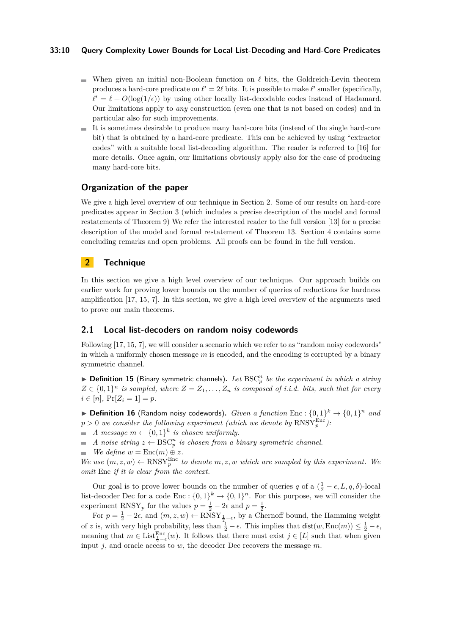### **33:10 Query Complexity Lower Bounds for Local List-Decoding and Hard-Core Predicates**

- When given an initial non-Boolean function on  $\ell$  bits, the Goldreich-Levin theorem produces a hard-core predicate on  $\ell' = 2\ell$  bits. It is possible to make  $\ell'$  smaller (specifically,  $\ell' = \ell + O(\log(1/\epsilon))$  by using other locally list-decodable codes instead of Hadamard. Our limitations apply to *any* construction (even one that is not based on codes) and in particular also for such improvements.
- It is sometimes desirable to produce many hard-core bits (instead of the single hard-core bit) that is obtained by a hard-core predicate. This can be achieved by using "extractor codes" with a suitable local list-decoding algorithm. The reader is referred to [\[16\]](#page-17-7) for more details. Once again, our limitations obviously apply also for the case of producing many hard-core bits.

# **Organization of the paper**

We give a high level overview of our technique in Section [2.](#page-9-0) Some of our results on hard-core predicates appear in Section [3](#page-13-1) (which includes a precise description of the model and formal restatements of Theorem [9\)](#page-5-1) We refer the interested reader to the full version [\[13\]](#page-17-8) for a precise description of the model and formal restatement of Theorem [13.](#page-7-1) Section [4](#page-15-1) contains some concluding remarks and open problems. All proofs can be found in the full version.

# <span id="page-9-0"></span>**2 Technique**

In this section we give a high level overview of our technique. Our approach builds on earlier work for proving lower bounds on the number of queries of reductions for hardness amplification [\[17,](#page-17-3) [15,](#page-17-4) [7\]](#page-16-2). In this section, we give a high level overview of the arguments used to prove our main theorems.

# **2.1 Local list-decoders on random noisy codewords**

Following [\[17,](#page-17-3) [15,](#page-17-4) [7\]](#page-16-2), we will consider a scenario which we refer to as "random noisy codewords" in which a uniformly chosen message *m* is encoded, and the encoding is corrupted by a binary symmetric channel.

 $\blacktriangleright$  **Definition 15** (Binary symmetric channels). Let  $\text{BSC}_p^n$  be the experiment in which a string  $Z \in \{0,1\}^n$  *is sampled, where*  $Z = Z_1, \ldots, Z_n$  *is composed of i.i.d. bits, such that for every*  $i \in [n], \Pr[Z_i = 1] = p.$ 

**Definition 16** (Random noisy codewords). *Given a function* Enc :  $\{0,1\}^k \rightarrow \{0,1\}^n$  *and*  $p > 0$  we consider the following experiment (which we denote by  $\text{RNSY}_p^{\text{Enc}}$ ):

*A* message  $m \leftarrow \{0,1\}^k$  is chosen uniformly.

*A* noise string  $z \leftarrow \text{BSC}_p^n$  is chosen from a binary symmetric channel.

 $\blacksquare$  *We define*  $w = \text{Enc}(m) \oplus z$ *.* 

*We use*  $(m, z, w) \leftarrow \text{RNSY}_{p}^{\text{Enc}}$  *to denote*  $m, z, w$  *which are sampled by this experiment. We omit* Enc *if it is clear from the context.*

Our goal is to prove lower bounds on the number of queries *q* of a  $(\frac{1}{2} - \epsilon, L, q, \delta)$ -local list-decoder Dec for a code  $Enc: \{0,1\}^k \to \{0,1\}^n$ . For this purpose, we will consider the experiment RNSY<sub>p</sub> for the values  $p = \frac{1}{2} - 2\epsilon$  and  $p = \frac{1}{2}$ .

For  $p = \frac{1}{2} - 2\epsilon$ , and  $(m, z, w) \leftarrow \text{RNSY}_{\frac{1}{2} - \epsilon}$ , by a Chernoff bound, the Hamming weight of *z* is, with very high probability, less than  $\frac{1}{2} - \epsilon$ . This implies that  $\text{dist}(w, \text{Enc}(m)) \leq \frac{1}{2} - \epsilon$ , meaning that  $m \in \text{List}_{\frac{1}{2}-\epsilon}^{\text{Enc}}(w)$ . It follows that there must exist  $j \in [L]$  such that when given input *j*, and oracle access to *w*, the decoder Dec recovers the message *m*.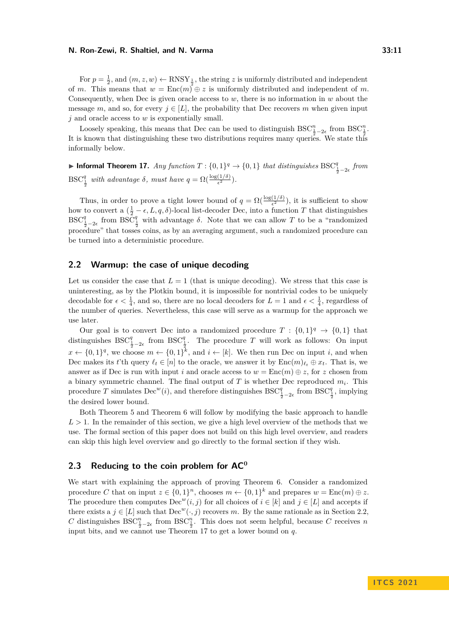For  $p = \frac{1}{2}$ , and  $(m, z, w) \leftarrow RNSY_{\frac{1}{2}}$ , the string *z* is uniformly distributed and independent of *m*. This means that  $w = \text{Enc}(m)^2 \oplus z$  is uniformly distributed and independent of *m*. Consequently, when Dec is given oracle access to *w*, there is no information in *w* about the message *m*, and so, for every  $j \in [L]$ , the probability that Dec recovers *m* when given input *j* and oracle access to *w* is exponentially small.

Loosely speaking, this means that Dec can be used to distinguish  $BSC^{n}_{\frac{1}{2}-2\epsilon}$  from  $BSC^{n}_{\frac{1}{2}}$ . It is known that distinguishing these two distributions requires many queries. We state this informally below.

<span id="page-10-1"></span>▶ Informal Theorem 17. *Any function*  $T: \{0,1\}^q \to \{0,1\}$  *that distinguishes*  $BSC^q_{\frac{1}{2}-2\epsilon}$  *from*  $BSC^q_{\frac{1}{2}}$  with advantage  $\delta$ , must have  $q = \Omega(\frac{\log(1/\delta)}{\epsilon^2})$ .

Thus, in order to prove a tight lower bound of  $q = \Omega(\frac{\log(1/\delta)}{\epsilon^2})$ , it is sufficient to show how to convert a  $(\frac{1}{2} - \epsilon, L, q, \delta)$ -local list-decoder Dec, into a function *T* that distinguishes BSC<sup>q</sup><sub> $\frac{1}{2}$ -2ε from BSC<sup>q</sup><sub>2</sub> with advantage  $\delta$ . Note that we can allow *T* to be a "randomized"</sub> procedure" that tosses coins, as by an averaging argument, such a randomized procedure can be turned into a deterministic procedure.

### <span id="page-10-0"></span>**2.2 Warmup: the case of unique decoding**

Let us consider the case that  $L = 1$  (that is unique decoding). We stress that this case is uninteresting, as by the Plotkin bound, it is impossible for nontrivial codes to be uniquely decodable for  $\epsilon < \frac{1}{4}$ , and so, there are no local decoders for  $L = 1$  and  $\epsilon < \frac{1}{4}$ , regardless of the number of queries. Nevertheless, this case will serve as a warmup for the approach we use later.

Our goal is to convert Dec into a randomized procedure  $T : \{0,1\}^q \to \{0,1\}$  that distinguishes  $BSC^q_{\frac{1}{2}-2\epsilon}$  from  $BSC^q_{\frac{1}{2}}$ . The procedure *T* will work as follows: On input  $x \leftarrow \{0,1\}^q$ , we choose  $m \leftarrow \{0,1\}^k$ , and  $i \leftarrow [k]$ . We then run Dec on input *i*, and when Dec makes its *t*'th query  $\ell_t \in [n]$  to the oracle, we answer it by  $\text{Enc}(m)_{\ell_t} \oplus x_t$ . That is, we answer as if Dec is run with input *i* and oracle access to  $w = \text{Enc}(m) \oplus z$ , for *z* chosen from a binary symmetric channel. The final output of *T* is whether Dec reproduced *m<sup>i</sup>* . This procedure *T* simulates Dec<sup>*w*</sup>(*i*), and therefore distinguishes BSC<sup>*q*</sup><sub>1</sub>-<sub>2</sub><sup>c</sup> from BSC<sup>*q*</sup><sub>1</sub></sub>, implying the desired lower bound.

Both Theorem [5](#page-3-0) and Theorem [6](#page-3-2) will follow by modifying the basic approach to handle  $L > 1$ . In the remainder of this section, we give a high level overview of the methods that we use. The formal section of this paper does not build on this high level overview, and readers can skip this high level overview and go directly to the formal section if they wish.

# **2.3 Reducing to the coin problem for AC<sup>0</sup>**

We start with explaining the approach of proving Theorem [6.](#page-3-2) Consider a randomized procedure *C* that on input  $z \in \{0,1\}^n$ , chooses  $m \leftarrow \{0,1\}^k$  and prepares  $w = \text{Enc}(m) \oplus z$ . The procedure then computes  $\text{Dec}^w(i, j)$  for all choices of  $i \in [k]$  and  $j \in [L]$  and accepts if there exists a  $j \in [L]$  such that  $\text{Dec}^w(\cdot, j)$  recovers *m*. By the same rationale as in Section [2.2,](#page-10-0) *C* distinguishes  $BSC_{\frac{1}{2}-2\epsilon}^n$  from  $BSC_{\frac{1}{2}}^n$ . This does not seem helpful, because *C* receives *n* input bits, and we cannot use Theorem [17](#page-10-1) to get a lower bound on *q*.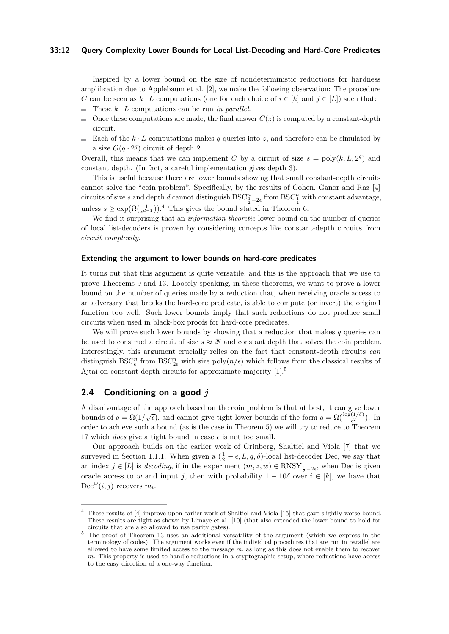### **33:12 Query Complexity Lower Bounds for Local List-Decoding and Hard-Core Predicates**

Inspired by a lower bound on the size of nondeterministic reductions for hardness amplification due to Applebaum et al. [\[2\]](#page-16-6), we make the following observation: The procedure *C* can be seen as  $k \cdot L$  computations (one for each choice of  $i \in [k]$  and  $j \in [L]$ ) such that:

- $\blacksquare$  These  $k \cdot L$  computations can be run *in parallel*.
- Once these computations are made, the final answer  $C(z)$  is computed by a constant-depth  $\equiv$ circuit.
- Each of the  $k \cdot L$  computations makes q queries into z, and therefore can be simulated by m. a size  $O(q \cdot 2^q)$  circuit of depth 2.

Overall, this means that we can implement *C* by a circuit of size  $s = \text{poly}(k, L, 2^q)$  and constant depth. (In fact, a careful implementation gives depth 3).

This is useful because there are lower bounds showing that small constant-depth circuits cannot solve the "coin problem". Specifically, by the results of Cohen, Ganor and Raz [\[4\]](#page-16-7) circuits of size *s* and depth *d* cannot distinguish  $BSC_{\frac{1}{2}-2\epsilon}^n$  from  $BSC_{\frac{1}{2}}^n$  with constant advantage, unless  $s \ge \exp(\Omega(\frac{1}{\epsilon^{d-1}})).^4$  $s \ge \exp(\Omega(\frac{1}{\epsilon^{d-1}})).^4$  This gives the bound stated in Theorem [6.](#page-3-2)

We find it surprising that an *information theoretic* lower bound on the number of queries of local list-decoders is proven by considering concepts like constant-depth circuits from *circuit complexity*.

### **Extending the argument to lower bounds on hard-core predicates**

It turns out that this argument is quite versatile, and this is the approach that we use to prove Theorems [9](#page-5-1) and [13.](#page-7-1) Loosely speaking, in these theorems, we want to prove a lower bound on the number of queries made by a reduction that, when receiving oracle access to an adversary that breaks the hard-core predicate, is able to compute (or invert) the original function too well. Such lower bounds imply that such reductions do not produce small circuits when used in black-box proofs for hard-core predicates.

We will prove such lower bounds by showing that a reduction that makes *q* queries can be used to construct a circuit of size  $s \approx 2<sup>q</sup>$  and constant depth that solves the coin problem. Interestingly, this argument crucially relies on the fact that constant-depth circuits *can* distinguish  $BSC^n_\epsilon$  from  $BSC^n_{2\epsilon}$  with size  $\text{poly}(n/\epsilon)$  which follows from the classical results of Ajtai on constant depth circuits for approximate majority [\[1\]](#page-16-8).<sup>[5](#page-11-1)</sup>

# **2.4 Conditioning on a good** *j*

A disadvantage of the approach based on the coin problem is that at best, it can give lower bounds of  $q = \Omega(1/\sqrt{\epsilon})$ , and cannot give tight lower bounds of the form  $q = \Omega(\frac{\log(1/\delta)}{\epsilon^2})$ . In order to achieve such a bound (as is the case in Theorem [5\)](#page-3-0) we will try to reduce to Theorem [17](#page-10-1) which *does* give a tight bound in case  $\epsilon$  is not too small.

Our approach builds on the earlier work of Grinberg, Shaltiel and Viola [\[7\]](#page-16-2) that we surveyed in Section [1.1.1.](#page-2-1) When given a  $(\frac{1}{2} - \epsilon, L, q, \delta)$ -local list-decoder Dec, we say that an index  $j \in [L]$  is *decoding*, if in the experiment  $(m, z, w) \in \text{RNSY}_{\frac{1}{2}-2\epsilon}$ , when Dec is given oracle access to *w* and input *j*, then with probability  $1 - 10\delta$  over  $i \in [k]$ , we have that Dec<sup>*w*</sup> $(i, j)$  recovers  $m_i$ .

<span id="page-11-0"></span><sup>4</sup> These results of [\[4\]](#page-16-7) improve upon earlier work of Shaltiel and Viola [\[15\]](#page-17-4) that gave slightly worse bound. These results are tight as shown by Limaye et al. [\[10\]](#page-16-9) (that also extended the lower bound to hold for circuits that are also allowed to use parity gates).

<span id="page-11-1"></span><sup>&</sup>lt;sup>5</sup> The proof of Theorem [13](#page-7-1) uses an additional versatility of the argument (which we express in the terminology of codes): The argument works even if the individual procedures that are run in parallel are allowed to have some limited access to the message *m*, as long as this does not enable them to recover *m*. This property is used to handle reductions in a cryptographic setup, where reductions have access to the easy direction of a one-way function.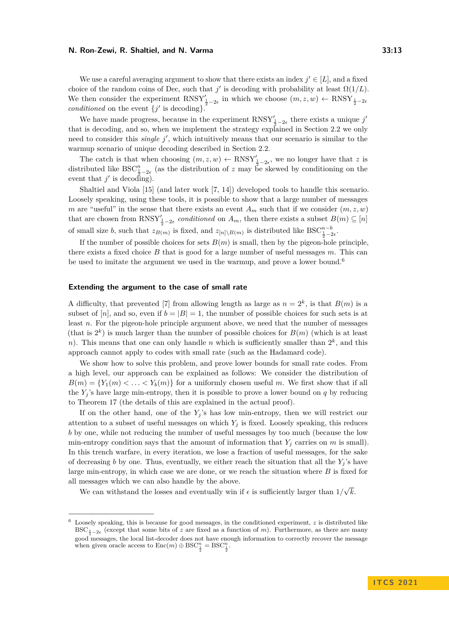We use a careful averaging argument to show that there exists an index  $j' \in [L]$ , and a fixed choice of the random coins of Dec, such that  $j'$  is decoding with probability at least  $\Omega(1/L)$ . We then consider the experiment  $RNSY'_{\frac{1}{2}-2\epsilon}$  in which we choose  $(m, z, w) \leftarrow RNSY_{\frac{1}{2}-2\epsilon}$ *conditioned* on the event  $\{j' \text{ is decoding}\}.$ 

We have made progress, because in the experiment  $RNSY'_{\frac{1}{2}-2\epsilon}$  there exists a unique *j'* that is decoding, and so, when we implement the strategy explained in Section [2.2](#page-10-0) we only need to consider this *single j'*, which intuitively means that our scenario is similar to the warmup scenario of unique decoding described in Section [2.2.](#page-10-0)

The catch is that when choosing  $(m, z, w) \leftarrow \text{RNSY}'_{\frac{1}{2}-2\epsilon}$ , we no longer have that *z* is distributed like  $BSC^n_{\frac{1}{2}-2\varepsilon}$  (as the distribution of *z* may be skewed by conditioning on the event that  $j'$  is decoding).

Shaltiel and Viola [\[15\]](#page-17-4) (and later work [\[7,](#page-16-2) [14\]](#page-17-6)) developed tools to handle this scenario. Loosely speaking, using these tools, it is possible to show that a large number of messages *m* are "useful" in the sense that there exists an event  $A_m$  such that if we consider  $(m, z, w)$ that are chosen from  $RNSY'_{\frac{1}{2}-2\epsilon}$  *conditioned* on  $A_m$ , then there exists a subset  $B(m) \subseteq [n]$ of small size *b*, such that  $z_{B(m)}$  is fixed, and  $z_{[n] \setminus B(m)}$  is distributed like  $BSC^{n-b}_{\frac{1}{2}-2\epsilon}$ .

If the number of possible choices for sets  $B(m)$  is small, then by the pigeon-hole principle, there exists a fixed choice *B* that is good for a large number of useful messages *m*. This can be used to imitate the argument we used in the warmup, and prove a lower bound.<sup>[6](#page-12-0)</sup>

### **Extending the argument to the case of small rate**

A difficulty, that prevented [\[7\]](#page-16-2) from allowing length as large as  $n = 2<sup>k</sup>$ , is that  $B(m)$  is a subset of [n], and so, even if  $b = |B| = 1$ , the number of possible choices for such sets is at least *n*. For the pigeon-hole principle argument above, we need that the number of messages (that is  $2^k$ ) is much larger than the number of possible choices for  $B(m)$  (which is at least *n*). This means that one can only handle *n* which is sufficiently smaller than  $2<sup>k</sup>$ , and this approach cannot apply to codes with small rate (such as the Hadamard code).

We show how to solve this problem, and prove lower bounds for small rate codes. From a high level, our approach can be explained as follows: We consider the distribution of  $B(m) = \{Y_1(m) < \ldots < Y_b(m)\}\$ for a uniformly chosen useful *m*. We first show that if all the  $Y_i$ 's have large min-entropy, then it is possible to prove a lower bound on  $q$  by reducing to Theorem [17](#page-10-1) (the details of this are explained in the actual proof).

If on the other hand, one of the *Y<sup>j</sup>* 's has low min-entropy, then we will restrict our attention to a subset of useful messages on which  $Y_j$  is fixed. Loosely speaking, this reduces *b* by one, while not reducing the number of useful messages by too much (because the low min-entropy condition says that the amount of information that  $Y_i$  carries on  $m$  is small). In this trench warfare, in every iteration, we lose a fraction of useful messages, for the sake of decreasing *b* by one. Thus, eventually, we either reach the situation that all the  $Y_i$ 's have large min-entropy, in which case we are done, or we reach the situation where *B* is fixed for all messages which we can also handle by the above. √

We can withstand the losses and eventually win if  $\epsilon$  is sufficiently larger than  $1/$ *k*.

<span id="page-12-0"></span><sup>6</sup> Loosely speaking, this is because for good messages, in the conditioned experiment, *z* is distributed like BSC<sub> $\frac{1}{2}-2\epsilon$  (except that some bits of *z* are fixed as a function of *m*). Furthermore, as there are many</sub> good messages, the local list-decoder does not have enough information to correctly recover the message when given oracle access to  $\text{Enc}(m) \oplus \text{BSC}_{\frac{1}{2}}^n = \text{BSC}_{\frac{1}{2}}^n$ .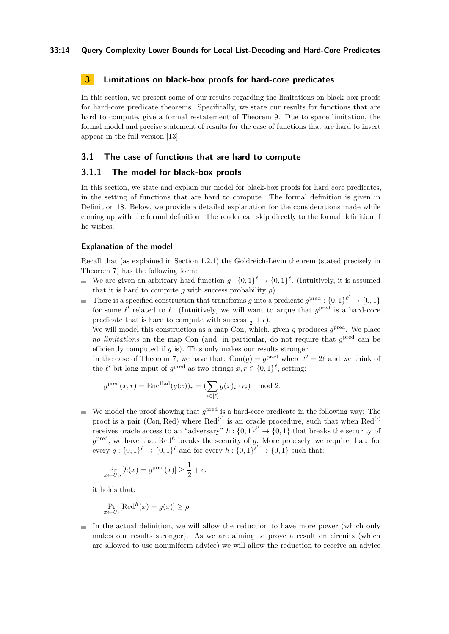# <span id="page-13-1"></span>**3 Limitations on black-box proofs for hard-core predicates**

In this section, we present some of our results regarding the limitations on black-box proofs for hard-core predicate theorems. Specifically, we state our results for functions that are hard to compute, give a formal restatement of Theorem [9.](#page-5-1) Due to space limitation, the formal model and precise statement of results for the case of functions that are hard to invert appear in the full version [\[13\]](#page-17-8).

# <span id="page-13-0"></span>**3.1 The case of functions that are hard to compute**

### <span id="page-13-2"></span>**3.1.1 The model for black-box proofs**

In this section, we state and explain our model for black-box proofs for hard core predicates, in the setting of functions that are hard to compute. The formal definition is given in Definition [18.](#page-14-0) Below, we provide a detailed explanation for the considerations made while coming up with the formal definition. The reader can skip directly to the formal definition if he wishes.

### **Explanation of the model**

Recall that (as explained in Section [1.2.1\)](#page-4-1) the Goldreich-Levin theorem (stated precisely in Theorem [7\)](#page-5-0) has the following form:

- We are given an arbitrary hard function  $g: \{0,1\}^{\ell} \to \{0,1\}^{\ell}$ . (Intuitively, it is assumed that it is hard to compute *g* with success probability  $\rho$ ).
- There is a specified construction that transforms *g* into a predicate  $g^{\text{pred}} : \{0,1\}^{\ell'} \to \{0,1\}$ for some  $\ell'$  related to  $\ell$ . (Intuitively, we will want to argue that  $g^{\text{pred}}$  is a hard-core predicate that is hard to compute with success  $\frac{1}{2} + \epsilon$ .

We will model this construction as a map Con, which, given  $g$  produces  $g^{\text{pred}}$ . We place *no limitations* on the map Con (and, in particular, do not require that  $g^{\text{pred}}$  can be efficiently computed if *g* is). This only makes our results stronger.

In the case of Theorem [7,](#page-5-0) we have that:  $Con(g) = g^{\text{pred}}$  where  $\ell' = 2\ell$  and we think of the  $\ell'$ -bit long input of  $g^{\text{pred}}$  as two strings  $x, r \in \{0, 1\}^{\ell}$ , setting:

$$
g^{\text{pred}}(x,r) = \text{Enc}^{\text{Had}}(g(x))_r = \left(\sum_{i \in [\ell]} g(x)_i \cdot r_i\right) \mod 2.
$$

We model the proof showing that  $g^{\text{pred}}$  is a hard-core predicate in the following way: The proof is a pair (Con, Red) where  $\text{Red}^{(\cdot)}$  is an oracle procedure, such that when  $\text{Red}^{(\cdot)}$ receives oracle access to an "adversary"  $h: \{0,1\}^{\ell'} \to \{0,1\}$  that breaks the security of  $g<sup>pred</sup>$ , we have that Red<sup>h</sup> breaks the security of *g*. More precisely, we require that: for every  $g: \{0,1\}^{\ell} \to \{0,1\}^{\ell}$  and for every  $h: \{0,1\}^{\ell'} \to \{0,1\}$  such that:

$$
\Pr_{x \leftarrow U_{\ell'}}[h(x) = g^{\text{pred}}(x)] \ge \frac{1}{2} + \epsilon,
$$

it holds that:

$$
\Pr_{x \leftarrow U_{\ell}}[\text{Red}^{h}(x) = g(x)] \ge \rho.
$$

 $\blacksquare$  In the actual definition, we will allow the reduction to have more power (which only makes our results stronger). As we are aiming to prove a result on circuits (which are allowed to use nonuniform advice) we will allow the reduction to receive an advice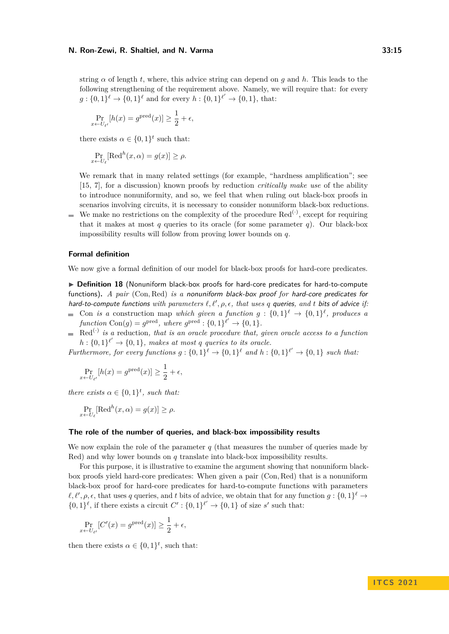string  $\alpha$  of length *t*, where, this advice string can depend on *q* and *h*. This leads to the following strengthening of the requirement above. Namely, we will require that: for every  $g: \{0,1\}^{\ell} \to \{0,1\}^{\ell}$  and for every  $h: \{0,1\}^{\ell'} \to \{0,1\}$ , that:

$$
\Pr_{x \leftarrow U_{\ell'}}[h(x) = g^{\text{pred}}(x)] \ge \frac{1}{2} + \epsilon,
$$

there exists  $\alpha \in \{0,1\}^t$  such that:

$$
\Pr_{x \leftarrow U_{\ell}}[\text{Red}^{h}(x,\alpha) = g(x)] \ge \rho.
$$

We remark that in many related settings (for example, "hardness amplification"; see [\[15,](#page-17-4) [7\]](#page-16-2), for a discussion) known proofs by reduction *critically make use* of the ability to introduce nonuniformity, and so, we feel that when ruling out black-box proofs in scenarios involving circuits, it is necessary to consider nonuniform black-box reductions. We make no restrictions on the complexity of the procedure  $\text{Red}^{(\cdot)}$ , except for requiring

that it makes at most  $q$  queries to its oracle (for some parameter  $q$ ). Our black-box impossibility results will follow from proving lower bounds on *q*.

# **Formal definition**

 $\blacksquare$ 

<span id="page-14-0"></span>We now give a formal definition of our model for black-box proofs for hard-core predicates.

▶ Definition 18 (Nonuniform black-box proofs for hard-core predicates for hard-to-compute functions)**.** *A pair* (Con*,* Red) *is a* nonuniform black-box proof *for* hard-core predicates for hard-to-compute functions with parameters  $\ell, \ell', \rho, \epsilon$ , that uses q queries, and t bits of advice *if*:

- Con *is a* construction map *which given a function*  $g: \{0,1\}^{\ell} \to \{0,1\}^{\ell}$ , produces a *function*  $Con(g) = g^{\text{pred}}$ , where  $g^{\text{pred}} : \{0,1\}^{\ell'} \to \{0,1\}$ .
- Red(·) *is a* reduction*, that is an oracle procedure that, given oracle access to a function*  $h: \{0,1\}^{\ell'} \to \{0,1\}$ , makes at most *q* queries to its oracle.

*Furthermore, for every functions*  $g: \{0,1\}^{\ell} \to \{0,1\}^{\ell}$  and  $h: \{0,1\}^{\ell'} \to \{0,1\}$  such that:

$$
\Pr_{x \leftarrow U_{\ell'}}[h(x) = g^{\text{pred}}(x)] \ge \frac{1}{2} + \epsilon,
$$

*there exists*  $\alpha \in \{0,1\}^t$ , *such that:* 

$$
\Pr_{x \leftarrow U_{\ell}}[\text{Red}^{h}(x,\alpha) = g(x)] \ge \rho.
$$

### **The role of the number of queries, and black-box impossibility results**

We now explain the role of the parameter *q* (that measures the number of queries made by Red) and why lower bounds on *q* translate into black-box impossibility results.

For this purpose, it is illustrative to examine the argument showing that nonuniform blackbox proofs yield hard-core predicates: When given a pair (Con*,* Red) that is a nonuniform black-box proof for hard-core predicates for hard-to-compute functions with parameters  $\ell, \ell', \rho, \epsilon$ , that uses *q* queries, and *t* bits of advice, we obtain that for any function  $g: \{0,1\}^{\ell} \to$  $\{0,1\}^{\ell}$ , if there exists a circuit  $C' : \{0,1\}^{\ell'} \to \{0,1\}$  of size *s'* such that:

$$
\Pr_{x \leftarrow U_{\ell'}}[C'(x) = g^{\text{pred}}(x)] \ge \frac{1}{2} + \epsilon,
$$

then there exists  $\alpha \in \{0,1\}^t$ , such that: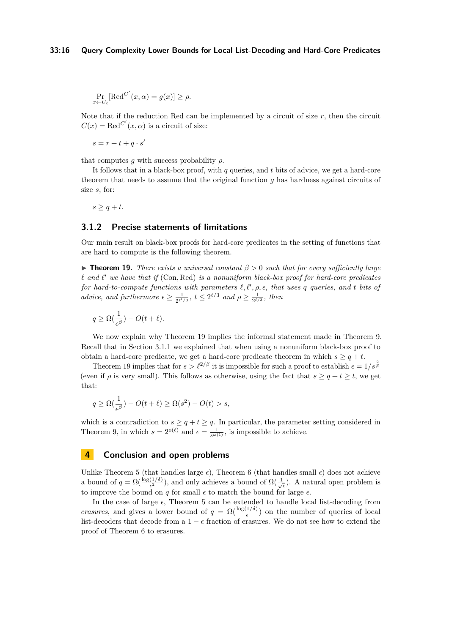### **33:16 Query Complexity Lower Bounds for Local List-Decoding and Hard-Core Predicates**

$$
\Pr_{x \leftarrow U_{\ell}}[\text{Red}^{C'}(x,\alpha) = g(x)] \ge \rho.
$$

Note that if the reduction Red can be implemented by a circuit of size  $r$ , then the circuit  $C(x) = \text{Red}^{C'}(x, \alpha)$  is a circuit of size:

 $s = r + t + q \cdot s'$ 

that computes  $q$  with success probability  $\rho$ .

It follows that in a black-box proof, with *q* queries, and *t* bits of advice, we get a hard-core theorem that needs to assume that the original function *g* has hardness against circuits of size *s*, for:

$$
s \ge q + t.
$$

# **3.1.2 Precise statements of limitations**

Our main result on black-box proofs for hard-core predicates in the setting of functions that are hard to compute is the following theorem.

<span id="page-15-0"></span>**Figure 19.** *There exists a universal constant*  $\beta > 0$  *such that for every sufficiently large*  $\ell$  *and*  $\ell'$  we have that if (Con, Red) is a nonuniform black-box proof for hard-core predicates *for hard-to-compute functions with parameters*  $\ell, \ell', \rho, \epsilon$ , that uses q queries, and t bits of *advice, and furthermore*  $\epsilon \geq \frac{1}{2\ell'}$  $\frac{1}{2^{\ell/3}}$ *,*  $t \leq 2^{\ell/3}$  and  $\rho \geq \frac{1}{2^{\ell/3}}$ *, then* 

$$
q \ge \Omega(\frac{1}{\epsilon^{\beta}}) - O(t + \ell).
$$

We now explain why Theorem [19](#page-15-0) implies the informal statement made in Theorem [9.](#page-5-1) Recall that in Section [3.1.1](#page-13-2) we explained that when using a nonuniform black-box proof to obtain a hard-core predicate, we get a hard-core predicate theorem in which  $s \geq q + t$ .

Theorem [19](#page-15-0) implies that for  $s > l^{2/\beta}$  it is impossible for such a proof to establish  $\epsilon = 1/s^{\frac{2}{\beta}}$ (even if *ρ* is very small). This follows as otherwise, using the fact that  $s > q + t > t$ , we get that:

$$
q \ge \Omega\left(\frac{1}{\epsilon^{\beta}}\right) - O(t+\ell) \ge \Omega(s^2) - O(t) > s,
$$

which is a contradiction to  $s \geq q + t \geq q$ . In particular, the parameter setting considered in Theorem [9,](#page-5-1) in which  $s = 2^{o(\ell)}$  and  $\epsilon = \frac{1}{s^{\omega(1)}}$ , is impossible to achieve.

### <span id="page-15-1"></span>**4 Conclusion and open problems**

Unlike Theorem [5](#page-3-0) (that handles large  $\epsilon$ ), Theorem [6](#page-3-2) (that handles small  $\epsilon$ ) does not achieve a bound of  $q = \Omega(\frac{\log(1/\delta)}{\epsilon^2})$ , and only achieves a bound of  $\Omega(\frac{1}{\sqrt{\epsilon}})$ . A natural open problem is to improve the bound on  $q$  for small  $\epsilon$  to match the bound for large  $\epsilon$ .

In the case of large  $\epsilon$ , Theorem [5](#page-3-0) can be extended to handle local list-decoding from *erasures*, and gives a lower bound of  $q = \Omega(\frac{\log(1/\delta)}{\epsilon})$  on the number of queries of local list-decoders that decode from a  $1 - \epsilon$  fraction of erasures. We do not see how to extend the proof of Theorem [6](#page-3-2) to erasures.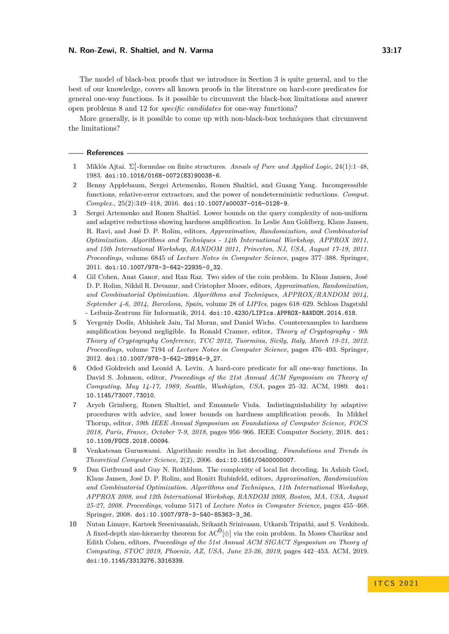The model of black-box proofs that we introduce in Section [3](#page-13-1) is quite general, and to the best of our knowledge, covers all known proofs in the literature on hard-core predicates for general one-way functions. Is it possible to circumvent the black-box limitations and answer open problems [8](#page-5-2) and [12](#page-7-2) for *specific candidates* for one-way functions?

More generally, is it possible to come up with non-black-box techniques that circumvent the limitations?

#### **References**

- <span id="page-16-8"></span>**1** Miklós Ajtai. Σ 1 <sup>1</sup>-formulae on finite structures. *Annals of Pure and Applied Logic*, 24(1):1–48, 1983. [doi:10.1016/0168-0072\(83\)90038-6](https://doi.org/10.1016/0168-0072(83)90038-6).
- <span id="page-16-6"></span>**2** Benny Applebaum, Sergei Artemenko, Ronen Shaltiel, and Guang Yang. Incompressible functions, relative-error extractors, and the power of nondeterministic reductions. *Comput. Complex.*, 25(2):349–418, 2016. [doi:10.1007/s00037-016-0128-9](https://doi.org/10.1007/s00037-016-0128-9).
- <span id="page-16-3"></span>**3** Sergei Artemenko and Ronen Shaltiel. Lower bounds on the query complexity of non-uniform and adaptive reductions showing hardness amplification. In Leslie Ann Goldberg, Klaus Jansen, R. Ravi, and José D. P. Rolim, editors, *Approximation, Randomization, and Combinatorial Optimization. Algorithms and Techniques - 14th International Workshop, APPROX 2011, and 15th International Workshop, RANDOM 2011, Princeton, NJ, USA, August 17-19, 2011. Proceedings*, volume 6845 of *Lecture Notes in Computer Science*, pages 377–388. Springer, 2011. [doi:10.1007/978-3-642-22935-0\\_32](https://doi.org/10.1007/978-3-642-22935-0_32).
- <span id="page-16-7"></span>**4** Gil Cohen, Anat Ganor, and Ran Raz. Two sides of the coin problem. In Klaus Jansen, José D. P. Rolim, Nikhil R. Devanur, and Cristopher Moore, editors, *Approximation, Randomization, and Combinatorial Optimization. Algorithms and Techniques, APPROX/RANDOM 2014, September 4-6, 2014, Barcelona, Spain*, volume 28 of *LIPIcs*, pages 618–629. Schloss Dagstuhl - Leibniz-Zentrum für Informatik, 2014. [doi:10.4230/LIPIcs.APPROX-RANDOM.2014.618](https://doi.org/10.4230/LIPIcs.APPROX-RANDOM.2014.618).
- <span id="page-16-5"></span>**5** Yevgeniy Dodis, Abhishek Jain, Tal Moran, and Daniel Wichs. Counterexamples to hardness amplification beyond negligible. In Ronald Cramer, editor, *Theory of Cryptography - 9th Theory of Cryptography Conference, TCC 2012, Taormina, Sicily, Italy, March 19-21, 2012. Proceedings*, volume 7194 of *Lecture Notes in Computer Science*, pages 476–493. Springer, 2012. [doi:10.1007/978-3-642-28914-9\\_27](https://doi.org/10.1007/978-3-642-28914-9_27).
- <span id="page-16-1"></span>**6** Oded Goldreich and Leonid A. Levin. A hard-core predicate for all one-way functions. In David S. Johnson, editor, *Proceedings of the 21st Annual ACM Symposium on Theory of Computing, May 14-17, 1989, Seattle, Washigton, USA*, pages 25–32. ACM, 1989. [doi:](https://doi.org/10.1145/73007.73010) [10.1145/73007.73010](https://doi.org/10.1145/73007.73010).
- <span id="page-16-2"></span>**7** Aryeh Grinberg, Ronen Shaltiel, and Emanuele Viola. Indistinguishability by adaptive procedures with advice, and lower bounds on hardness amplification proofs. In Mikkel Thorup, editor, *59th IEEE Annual Symposium on Foundations of Computer Science, FOCS 2018, Paris, France, October 7-9, 2018*, pages 956–966. IEEE Computer Society, 2018. [doi:](https://doi.org/10.1109/FOCS.2018.00094) [10.1109/FOCS.2018.00094](https://doi.org/10.1109/FOCS.2018.00094).
- <span id="page-16-0"></span>**8** Venkatesan Guruswami. Algorithmic results in list decoding. *Foundations and Trends in Theoretical Computer Science*, 2(2), 2006. [doi:10.1561/0400000007](https://doi.org/10.1561/0400000007).
- <span id="page-16-4"></span>**9** Dan Gutfreund and Guy N. Rothblum. The complexity of local list decoding. In Ashish Goel, Klaus Jansen, José D. P. Rolim, and Ronitt Rubinfeld, editors, *Approximation, Randomization and Combinatorial Optimization. Algorithms and Techniques, 11th International Workshop, APPROX 2008, and 12th International Workshop, RANDOM 2008, Boston, MA, USA, August 25-27, 2008. Proceedings*, volume 5171 of *Lecture Notes in Computer Science*, pages 455–468. Springer, 2008. [doi:10.1007/978-3-540-85363-3\\_36](https://doi.org/10.1007/978-3-540-85363-3_36).
- <span id="page-16-9"></span>**10** Nutan Limaye, Karteek Sreenivasaiah, Srikanth Srinivasan, Utkarsh Tripathi, and S. Venkitesh. A fixed-depth size-hierarchy theorem for  $AC^0[\oplus]$  via the coin problem. In Moses Charikar and Edith Cohen, editors, *Proceedings of the 51st Annual ACM SIGACT Symposium on Theory of Computing, STOC 2019, Phoenix, AZ, USA, June 23-26, 2019*, pages 442–453. ACM, 2019. [doi:10.1145/3313276.3316339](https://doi.org/10.1145/3313276.3316339).